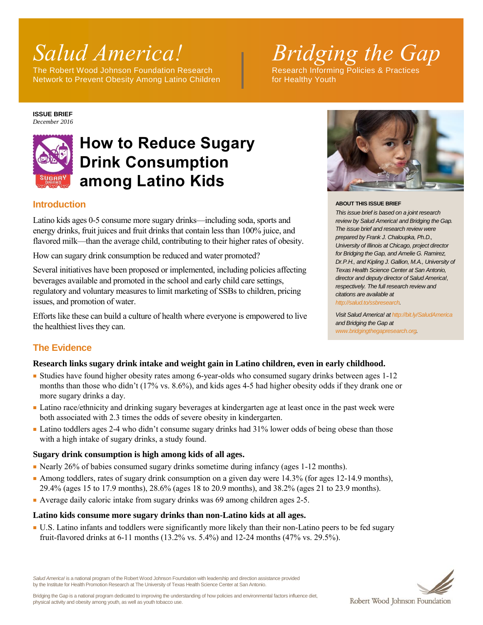The Robert Wood Johnson Foundation Research Network to Prevent Obesity Among Latino Children Form for Healthy Youth

# *Salud America!* Bridging the Gap

#### **ISSUE BRIEF** *December 2016*



## **How to Reduce Sugary Drink Consumption among Latino Kids**

#### **Introduction**

Latino kids ages 0-5 consume more sugary drinks—including soda, sports and energy drinks, fruit juices and fruit drinks that contain less than 100% juice, and flavored milk—than the average child, contributing to their higher rates of obesity.

How can sugary drink consumption be reduced and water promoted?

Several initiatives have been proposed or implemented, including policies affecting beverages available and promoted in the school and early child care settings, regulatory and voluntary measures to limit marketing of SSBs to children, pricing issues, and promotion of water.

Efforts like these can build a culture of health where everyone is empowered to live the healthiest lives they can.



#### **ABOUT THIS ISSUE BRIEF**

*This issue brief is based on a joint research review by Salud America! and Bridging the Gap. The issue brief and research review were prepared by Frank J. Chaloupka, Ph.D., University of Illinois at Chicago, project director for Bridging the Gap, and Amelie G. Ramirez, Dr.P.H., and Kipling J. Gallion, M.A., University of Texas Health Science Center at San Antonio, director and deputy director of Salud America!, respectively. The full research review and citations are available at [http://salud.to/ssbresearch.](http://salud.to/ssbresearch)*

*Visit Salud America! a[t http://bit.ly/SaludAmerica](http://bit.ly/SaludAmerica) and Bridging the Gap at [www.bridgingthegapresearch.org.](http://www.bridgingthegapresearch.org/)*

### **The Evidence**

#### **Research links sugary drink intake and weight gain in Latino children, even in early childhood.**

- Studies have found higher obesity rates among 6-year-olds who consumed sugary drinks between ages 1-12 months than those who didn't (17% vs. 8.6%), and kids ages 4-5 had higher obesity odds if they drank one or more sugary drinks a day.
- Latino race/ethnicity and drinking sugary beverages at kindergarten age at least once in the past week were both associated with 2.3 times the odds of severe obesity in kindergarten.
- Latino toddlers ages 2-4 who didn't consume sugary drinks had 31% lower odds of being obese than those with a high intake of sugary drinks, a study found.

#### **Sugary drink consumption is high among kids of all ages.**

- Nearly 26% of babies consumed sugary drinks sometime during infancy (ages 1-12 months).
- Among toddlers, rates of sugary drink consumption on a given day were 14.3% (for ages 12-14.9 months), 29.4% (ages 15 to 17.9 months), 28.6% (ages 18 to 20.9 months), and 38.2% (ages 21 to 23.9 months).
- Average daily caloric intake from sugary drinks was 69 among children ages 2-5.

#### **Latino kids consume more sugary drinks than non-Latino kids at all ages.**

■ U.S. Latino infants and toddlers were significantly more likely than their non-Latino peers to be fed sugary fruit-flavored drinks at 6-11 months (13.2% vs. 5.4%) and 12-24 months (47% vs. 29.5%).



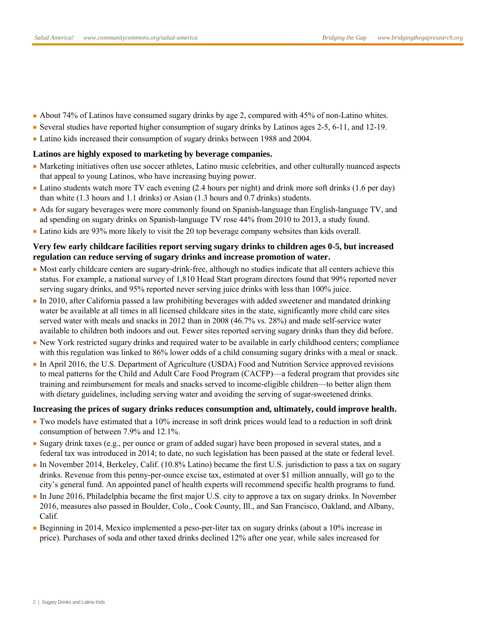- About 74% of Latinos have consumed sugary drinks by age 2, compared with 45% of non-Latino whites.
- Several studies have reported higher consumption of sugary drinks by Latinos ages 2-5, 6-11, and 12-19.
- Latino kids increased their consumption of sugary drinks between 1988 and 2004.

#### **Latinos are highly exposed to marketing by beverage companies.**

- Marketing initiatives often use soccer athletes, Latino music celebrities, and other culturally nuanced aspects that appeal to young Latinos, who have increasing buying power.
- Latino students watch more TV each evening (2.4 hours per night) and drink more soft drinks (1.6 per day) than white (1.3 hours and 1.1 drinks) or Asian (1.3 hours and 0.7 drinks) students.
- Ads for sugary beverages were more commonly found on Spanish-language than English-language TV, and ad spending on sugary drinks on Spanish-language TV rose 44% from 2010 to 2013, a study found.
- Latino kids are 93% more likely to visit the 20 top beverage company websites than kids overall.

#### **Very few early childcare facilities report serving sugary drinks to children ages 0-5, but increased regulation can reduce serving of sugary drinks and increase promotion of water.**

- Most early childcare centers are sugary-drink-free, although no studies indicate that all centers achieve this status. For example, a national survey of 1,810 Head Start program directors found that 99% reported never serving sugary drinks, and 95% reported never serving juice drinks with less than 100% juice.
- In 2010, after California passed a law prohibiting beverages with added sweetener and mandated drinking water be available at all times in all licensed childcare sites in the state, significantly more child care sites served water with meals and snacks in 2012 than in 2008 (46.7% vs. 28%) and made self-service water available to children both indoors and out. Fewer sites reported serving sugary drinks than they did before.
- New York restricted sugary drinks and required water to be available in early childhood centers; compliance with this regulation was linked to 86% lower odds of a child consuming sugary drinks with a meal or snack.
- In April 2016, the U.S. Department of Agriculture (USDA) Food and Nutrition Service approved revisions to meal patterns for the Child and Adult Care Food Program (CACFP)—a federal program that provides site training and reimbursement for meals and snacks served to income-eligible children—to better align them with dietary guidelines, including serving water and avoiding the serving of sugar-sweetened drinks.

#### **Increasing the prices of sugary drinks reduces consumption and, ultimately, could improve health.**

- Two models have estimated that a 10% increase in soft drink prices would lead to a reduction in soft drink consumption of between 7.9% and 12.1%.
- Sugary drink taxes (e.g., per ounce or gram of added sugar) have been proposed in several states, and a federal tax was introduced in 2014; to date, no such legislation has been passed at the state or federal level.
- In November 2014, Berkeley, Calif. (10.8% Latino) became the first U.S. jurisdiction to pass a tax on sugary drinks. Revenue from this penny-per-ounce excise tax, estimated at over \$1 million annually, will go to the city's general fund. An appointed panel of health experts will recommend specific health programs to fund.
- In June 2016, Philadelphia became the first major U.S. city to approve a tax on sugary drinks. In November 2016, measures also passed in Boulder, Colo., Cook County, Ill., and San Francisco, Oakland, and Albany, Calif.
- Beginning in 2014, Mexico implemented a peso-per-liter tax on sugary drinks (about a 10% increase in price). Purchases of soda and other taxed drinks declined 12% after one year, while sales increased for